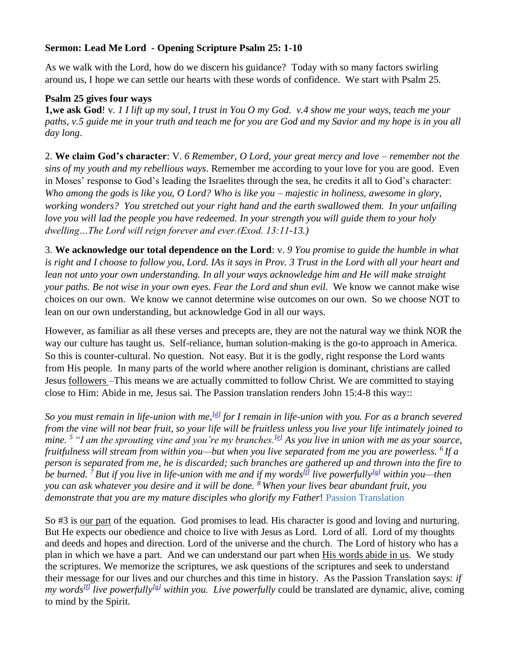# **Sermon: Lead Me Lord - Opening Scripture Psalm 25: 1-10**

As we walk with the Lord, how do we discern his guidance? Today with so many factors swirling around us, I hope we can settle our hearts with these words of confidence. We start with Psalm 25.

## **Psalm 25 gives four ways**

**1,we ask God**! v. *1 I lift up my soul, I trust in You O my God. v.4 show me your ways, teach me your paths, v.5 guide me in your truth and teach me for you are God and my Savior and my hope is in you all day long*.

2. **We claim God's character**: V. *6 Remember, O Lord, your great mercy and love – remember not the sins of my youth and my rebellious ways*. Remember me according to your love for you are good. Even in Moses' response to God's leading the Israelites through the sea, he credits it all to God's character: *Who among the gods is like you, O Lord? Who is like you – majestic in holiness, awesome in glory, working wonders? You stretched out your right hand and the earth swallowed them. In your unfailing love you will lad the people you have redeemed. In your strength you will guide them to your holy dwelling…The Lord will reign forever and ever.(Exod. 13:11-13.)*

3. **We acknowledge our total dependence on the Lord**: v. *9 You promise to guide the humble in what is right and I choose to follow you, Lord. IAs it says in Prov. 3 Trust in the Lord with all your heart and lean not unto your own understanding. In all your ways acknowledge him and He will make straight your paths. Be not wise in your own eyes. Fear the Lord and shun evil*. We know we cannot make wise choices on our own. We know we cannot determine wise outcomes on our own. So we choose NOT to lean on our own understanding, but acknowledge God in all our ways.

However, as familiar as all these verses and precepts are, they are not the natural way we think NOR the way our culture has taught us. Self-reliance, human solution-making is the go-to approach in America. So this is counter-cultural. No question. Not easy. But it is the godly, right response the Lord wants from His people. In many parts of the world where another religion is dominant, christians are called Jesus followers –This means we are actually committed to follow Christ. We are committed to staying close to Him: Abide in me, Jesus sai. The Passion translation renders John 15:4-8 this way::

So you must remain in life-union with me,<sup>[\[d\]](https://www.biblegateway.com/passage/?search=John+15%3A1-8&version=TPT#fen-TPT-8053d)</sup> for I remain in life-union with you. For as a branch severed *from the vine will not bear fruit, so your life will be fruitless unless you live your life intimately joined to mine. <sup>5</sup> "I am the sprouting vine and you're my branches.[\[e\]](https://www.biblegateway.com/passage/?search=John+15%3A1-8&version=TPT#fen-TPT-8054e) As you live in union with me as your source, fruitfulness will stream from within you—but when you live separated from me you are powerless. <sup>6</sup> If a person is separated from me, he is discarded; such branches are gathered up and thrown into the fire to be burned. <sup>7</sup> But if you live in life-union with me and if my words[\[f\]](https://www.biblegateway.com/passage/?search=John+15%3A1-8&version=TPT#fen-TPT-8056f) live powerfully[\[g\]](https://www.biblegateway.com/passage/?search=John+15%3A1-8&version=TPT#fen-TPT-8056g) within you—then you can ask whatever you desire and it will be done. <sup>8</sup> When your lives bear abundant fruit, you demonstrate that you are my mature disciples who glorify my Father*! Passion Translation

So #3 is our part of the equation. God promises to lead. His character is good and loving and nurturing. But He expects our obedience and choice to live with Jesus as Lord. Lord of all. Lord of my thoughts and deeds and hopes and direction. Lord of the universe and the church. The Lord of history who has a plan in which we have a part. And we can understand our part when His words abide in us. We study the scriptures. We memorize the scriptures, we ask questions of the scriptures and seek to understand their message for our lives and our churches and this time in history. As the Passion Translation says: *if my words[\[f\]](https://www.biblegateway.com/passage/?search=John+15%3A1-8&version=TPT#fen-TPT-8056f) live powerfully[\[g\]](https://www.biblegateway.com/passage/?search=John+15%3A1-8&version=TPT#fen-TPT-8056g) within you. Live powerfully* could be translated are dynamic, alive, coming to mind by the Spirit.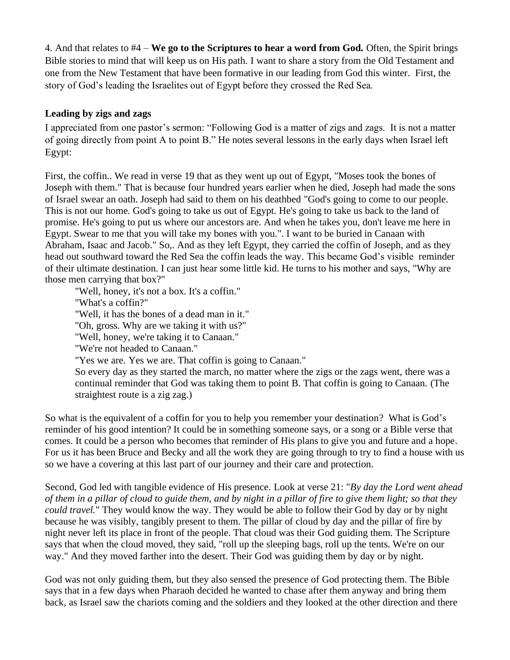4. And that relates to #4 – **We go to the Scriptures to hear a word from God.** Often, the Spirit brings Bible stories to mind that will keep us on His path. I want to share a story from the Old Testament and one from the New Testament that have been formative in our leading from God this winter. First, the story of God's leading the Israelites out of Egypt before they crossed the Red Sea.

# **Leading by zigs and zags**

I appreciated from one pastor's sermon: "Following God is a matter of zigs and zags. It is not a matter of going directly from point A to point B." He notes several lessons in the early days when Israel left Egypt:

First, the coffin.. We read in verse 19 that as they went up out of Egypt, "Moses took the bones of Joseph with them." That is because four hundred years earlier when he died, Joseph had made the sons of Israel swear an oath. Joseph had said to them on his deathbed "God's going to come to our people. This is not our home. God's going to take us out of Egypt. He's going to take us back to the land of promise. He's going to put us where our ancestors are. And when he takes you, don't leave me here in Egypt. Swear to me that you will take my bones with you.". I want to be buried in Canaan with Abraham, Isaac and Jacob." So,. And as they left Egypt, they carried the coffin of Joseph, and as they head out southward toward the Red Sea the coffin leads the way. This became God's visible reminder of their ultimate destination. I can just hear some little kid. He turns to his mother and says, "Why are those men carrying that box?"

"Well, honey, it's not a box. It's a coffin."

"What's a coffin?"

"Well, it has the bones of a dead man in it."

"Oh, gross. Why are we taking it with us?"

"Well, honey, we're taking it to Canaan."

"We're not headed to Canaan."

"Yes we are. Yes we are. That coffin is going to Canaan."

So every day as they started the march, no matter where the zigs or the zags went, there was a continual reminder that God was taking them to point B. That coffin is going to Canaan. (The straightest route is a zig zag.)

So what is the equivalent of a coffin for you to help you remember your destination? What is God's reminder of his good intention? It could be in something someone says, or a song or a Bible verse that comes. It could be a person who becomes that reminder of His plans to give you and future and a hope. For us it has been Bruce and Becky and all the work they are going through to try to find a house with us so we have a covering at this last part of our journey and their care and protection.

Second, God led with tangible evidence of His presence. Look at verse 21: "*By day the Lord went ahead of them in a pillar of cloud to guide them, and by night in a pillar of fire to give them light; so that they could travel.*" They would know the way. They would be able to follow their God by day or by night because he was visibly, tangibly present to them. The pillar of cloud by day and the pillar of fire by night never left its place in front of the people. That cloud was their God guiding them. The Scripture says that when the cloud moved, they said, "roll up the sleeping bags, roll up the tents. We're on our way." And they moved farther into the desert. Their God was guiding them by day or by night.

God was not only guiding them, but they also sensed the presence of God protecting them. The Bible says that in a few days when Pharaoh decided he wanted to chase after them anyway and bring them back, as Israel saw the chariots coming and the soldiers and they looked at the other direction and there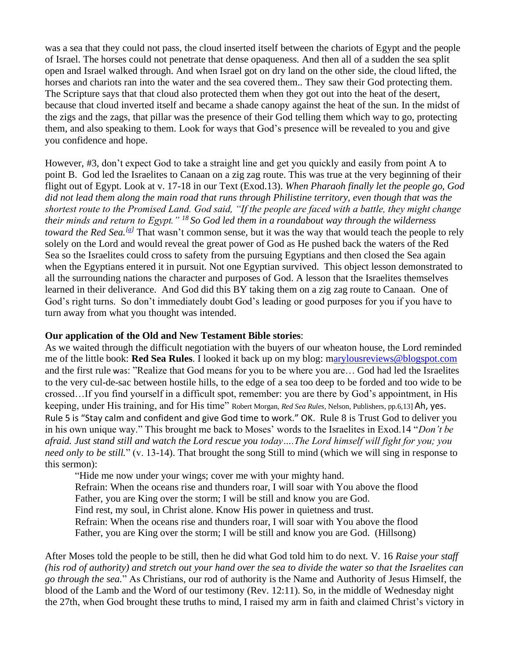was a sea that they could not pass, the cloud inserted itself between the chariots of Egypt and the people of Israel. The horses could not penetrate that dense opaqueness. And then all of a sudden the sea split open and Israel walked through. And when Israel got on dry land on the other side, the cloud lifted, the horses and chariots ran into the water and the sea covered them.. They saw their God protecting them. The Scripture says that that cloud also protected them when they got out into the heat of the desert, because that cloud inverted itself and became a shade canopy against the heat of the sun. In the midst of the zigs and the zags, that pillar was the presence of their God telling them which way to go, protecting them, and also speaking to them. Look for ways that God's presence will be revealed to you and give you confidence and hope.

However, #3, don't expect God to take a straight line and get you quickly and easily from point A to point B. God led the Israelites to Canaan on a zig zag route. This was true at the very beginning of their flight out of Egypt. Look at v. 17-18 in our Text (Exod.13). *When Pharaoh finally let the people go, God did not lead them along the main road that runs through Philistine territory, even though that was the shortest route to the Promised Land. God said, "If the people are faced with a battle, they might change their minds and return to Egypt." <sup>18</sup> So God led them in a roundabout way through the wilderness toward the Red Sea.*<sup>[\[a\]](https://www.biblegateway.com/passage/?search=exod%2C13%3A17-18&version=NLT#fen-NLT-1886a)</sup> That wasn't common sense, but it was the way that would teach the people to rely solely on the Lord and would reveal the great power of God as He pushed back the waters of the Red Sea so the Israelites could cross to safety from the pursuing Egyptians and then closed the Sea again when the Egyptians entered it in pursuit. Not one Egyptian survived. This object lesson demonstrated to all the surrounding nations the character and purposes of God. A lesson that the Israelites themselves learned in their deliverance. And God did this BY taking them on a zig zag route to Canaan. One of God's right turns. So don't immediately doubt God's leading or good purposes for you if you have to turn away from what you thought was intended.

### **Our application of the Old and New Testament Bible stories**:

As we waited through the difficult negotiation with the buyers of our wheaton house, the Lord reminded me of the little book: **Red Sea Rules**. I looked it back up on my blog: [marylousreviews@blogspot.com](mailto:arylousreviews@blogspot.com) and the first rule was: "Realize that God means for you to be where you are… God had led the Israelites to the very cul-de-sac between hostile hills, to the edge of a sea too deep to be forded and too wide to be crossed…If you find yourself in a difficult spot, remember: you are there by God's appointment, in His keeping, under His training, and for His time" Robert Morgan*, Red Sea Rules*, Nelson, Publishers, pp.6,13] Ah, yes. Rule 5 is "Stay calm and confident and give God time to work." OK. Rule 8 is Trust God to deliver you in his own unique way." This brought me back to Moses' words to the Israelites in Exod.14 "*Don't be afraid. Just stand still and watch the Lord rescue you today….The Lord himself will fight for you; you need only to be still.*" (v. 13-14). That brought the song Still to mind (which we will sing in response to this sermon):

"Hide me now under your wings; cover me with your mighty hand. Refrain: When the oceans rise and thunders roar, I will soar with You above the flood Father, you are King over the storm; I will be still and know you are God. Find rest, my soul, in Christ alone. Know His power in quietness and trust. Refrain: When the oceans rise and thunders roar, I will soar with You above the flood Father, you are King over the storm; I will be still and know you are God. (Hillsong)

After Moses told the people to be still, then he did what God told him to do next. V. 16 *Raise your staff (his rod of authority) and stretch out your hand over the sea to divide the water so that the Israelites can go through the sea.*" As Christians, our rod of authority is the Name and Authority of Jesus Himself, the blood of the Lamb and the Word of our testimony (Rev. 12:11). So, in the middle of Wednesday night the 27th, when God brought these truths to mind, I raised my arm in faith and claimed Christ's victory in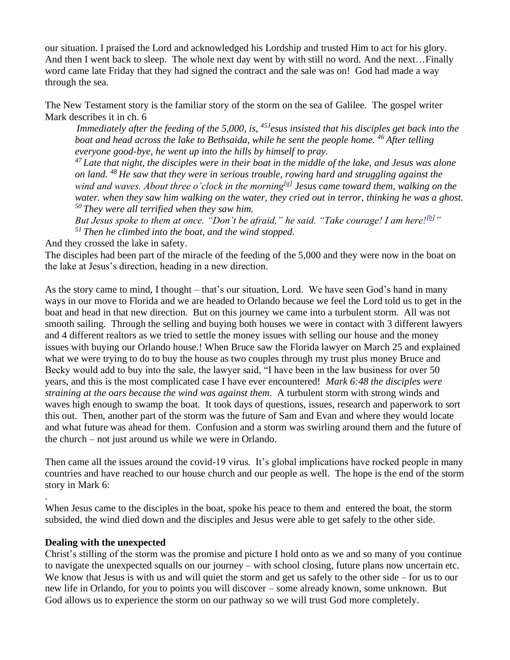our situation. I praised the Lord and acknowledged his Lordship and trusted Him to act for his glory. And then I went back to sleep. The whole next day went by with still no word. And the next…Finally word came late Friday that they had signed the contract and the sale was on! God had made a way through the sea.

The New Testament story is the familiar story of the storm on the sea of Galilee. The gospel writer Mark describes it in ch. 6

*Immediately after the feeding of the 5,000, is, 45J esus insisted that his disciples get back into the boat and head across the lake to Bethsaida, while he sent the people home. <sup>46</sup> After telling everyone good-bye, he went up into the hills by himself to pray.*

*<sup>47</sup> Late that night, the disciples were in their boat in the middle of the lake, and Jesus was alone on land. <sup>48</sup> He saw that they were in serious trouble, rowing hard and struggling against the wind and waves. About three o'clock in the morning[\[a\]](https://www.biblegateway.com/passage/?search=Mark+6%3A45-53&version=NLT#fen-NLT-24429a) Jesus came toward them, walking on the water. when they saw him walking on the water, they cried out in terror, thinking he was a ghost. <sup>50</sup> They were all terrified when they saw him.*

*But Jesus spoke to them at once. "Don't be afraid," he said. "Take courage! I am here![\[b\]](https://www.biblegateway.com/passage/?search=Mark+6%3A45-53&version=NLT#fen-NLT-24431b)" <sup>51</sup> Then he climbed into the boat, and the wind stopped.* 

And they crossed the lake in safety.

The disciples had been part of the miracle of the feeding of the 5,000 and they were now in the boat on the lake at Jesus's direction, heading in a new direction.

As the story came to mind, I thought – that's our situation, Lord. We have seen God's hand in many ways in our move to Florida and we are headed to Orlando because we feel the Lord told us to get in the boat and head in that new direction. But on this journey we came into a turbulent storm. All was not smooth sailing. Through the selling and buying both houses we were in contact with 3 different lawyers and 4 different realtors as we tried to settle the money issues with selling our house and the money issues with buying our Orlando house.! When Bruce saw the Florida lawyer on March 25 and explained what we were trying to do to buy the house as two couples through my trust plus money Bruce and Becky would add to buy into the sale, the lawyer said, "I have been in the law business for over 50 years, and this is the most complicated case I have ever encountered! *Mark 6:48 the disciples were straining at the oars because the wind was against them.* A turbulent storm with strong winds and waves high enough to swamp the boat. It took days of questions, issues, research and paperwork to sort this out. Then, another part of the storm was the future of Sam and Evan and where they would locate and what future was ahead for them. Confusion and a storm was swirling around them and the future of the church – not just around us while we were in Orlando.

Then came all the issues around the covid-19 virus. It's global implications have rocked people in many countries and have reached to our house church and our people as well. The hope is the end of the storm story in Mark 6:

When Jesus came to the disciples in the boat, spoke his peace to them and entered the boat, the storm subsided, the wind died down and the disciples and Jesus were able to get safely to the other side.

### **Dealing with the unexpected**

.

Christ's stilling of the storm was the promise and picture I hold onto as we and so many of you continue to navigate the unexpected squalls on our journey – with school closing, future plans now uncertain etc. We know that Jesus is with us and will quiet the storm and get us safely to the other side – for us to our new life in Orlando, for you to points you will discover – some already known, some unknown. But God allows us to experience the storm on our pathway so we will trust God more completely.